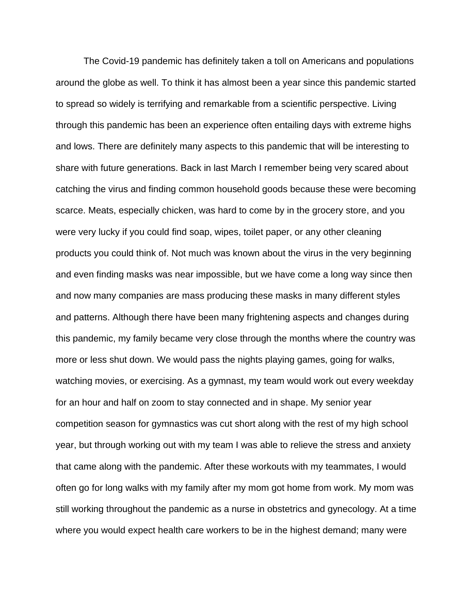The Covid-19 pandemic has definitely taken a toll on Americans and populations around the globe as well. To think it has almost been a year since this pandemic started to spread so widely is terrifying and remarkable from a scientific perspective. Living through this pandemic has been an experience often entailing days with extreme highs and lows. There are definitely many aspects to this pandemic that will be interesting to share with future generations. Back in last March I remember being very scared about catching the virus and finding common household goods because these were becoming scarce. Meats, especially chicken, was hard to come by in the grocery store, and you were very lucky if you could find soap, wipes, toilet paper, or any other cleaning products you could think of. Not much was known about the virus in the very beginning and even finding masks was near impossible, but we have come a long way since then and now many companies are mass producing these masks in many different styles and patterns. Although there have been many frightening aspects and changes during this pandemic, my family became very close through the months where the country was more or less shut down. We would pass the nights playing games, going for walks, watching movies, or exercising. As a gymnast, my team would work out every weekday for an hour and half on zoom to stay connected and in shape. My senior year competition season for gymnastics was cut short along with the rest of my high school year, but through working out with my team I was able to relieve the stress and anxiety that came along with the pandemic. After these workouts with my teammates, I would often go for long walks with my family after my mom got home from work. My mom was still working throughout the pandemic as a nurse in obstetrics and gynecology. At a time where you would expect health care workers to be in the highest demand; many were